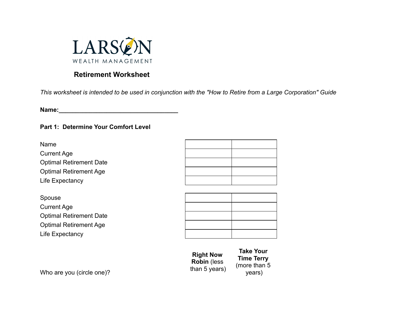

# **Retirement Worksheet**

*This worksheet is intended to be used in conjunction with the "How to Retire from a Large Corporation" Guide*

**Name:** 

## **Part 1: Determine Your Comfort Level**

Name Current Age Optimal Retirement Date Optimal Retirement Age Life Expectancy

Spouse Current Age Optimal Retirement Date Optimal Retirement Age Life Expectancy

| <b>Right Now</b>    |
|---------------------|
| <b>Robin (less)</b> |
| than 5 years)       |

Who are you (circle one)?

**Time Terry** (more than 5 years)

**Take Your**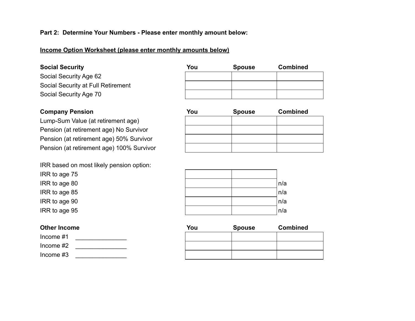#### **Part 2: Determine Your Numbers - Please enter monthly amount below:**

### **Income Option Worksheet (please enter monthly amounts below)**

### **Social Security**

Social Security Age 62 Social Security at Full Retirement Social Security Age 70

## **Company Pension**

Lump-Sum Value (at retirement age) Pension (at retirement age) No Survivor Pension (at retirement age) 50% Survivor Pension (at retirement age) 100% Survivor

IRR based on most likely pension option:

IRR to age 75

 $IRR$  to age 80

IRR to age  $85$ 

 $IRR$  to age 90

IRR to age  $95$ 

### **Other Income**



| You | <b>Spouse</b> | <b>Combined</b> |
|-----|---------------|-----------------|
|     |               |                 |
|     |               |                 |
|     |               |                 |

| You | <b>Spouse</b> | <b>Combined</b> |
|-----|---------------|-----------------|
|     |               |                 |
|     |               |                 |
|     |               |                 |
|     |               |                 |

|  | n/a            |
|--|----------------|
|  | n/a            |
|  | $n/a$<br>$n/a$ |
|  |                |

| You<br><b>Spouse</b> |  | <b>Combined</b> |  |
|----------------------|--|-----------------|--|
|                      |  |                 |  |
|                      |  |                 |  |
|                      |  |                 |  |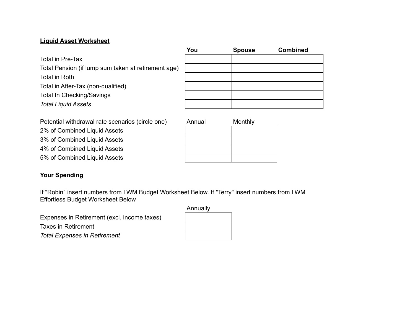## **Liquid Asset Worksheet**

Total in Pre-Tax

Total Pension (if lump sum taken at retirement age) Total in Roth Total in After-Tax (non-qualified) Total In Checking/Savings *Total Liquid Assets*

| You | <b>Spouse</b> | <b>Combined</b> |
|-----|---------------|-----------------|
|     |               |                 |
|     |               |                 |
|     |               |                 |
|     |               |                 |
|     |               |                 |
|     |               |                 |

Potential withdrawal rate scenarios (circle one) Annual Monthly

2% of Combined Liquid Assets

3% of Combined Liquid Assets

4% of Combined Liquid Assets

5% of Combined Liquid Assets

## **Your Spending**

If "Robin" insert numbers from LWM Budget Worksheet Below. If "Terry" insert numbers from LWM Effortless Budget Worksheet Below

Expenses in Retirement (excl. income taxes) Taxes in Retirement *Total Expenses in Retirement*

| Annually |
|----------|
|          |
|          |
|          |
|          |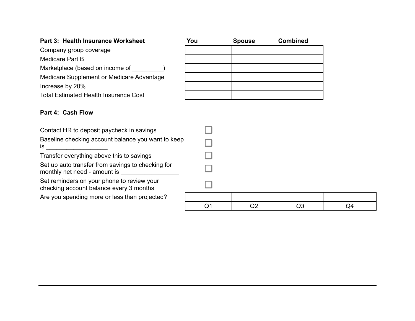# **Part 3: Health Insurance Worksheet**

Company group coverage

Medicare Part B

Marketplace (based on income of \_\_\_\_\_\_\_\_\_)

Medicare Supplement or Medicare Advantage Increase by 20%

Total Estimated Health Insurance Cost

## **Part 4: Cash Flow**

| Contact HR to deposit paycheck in savings                                             |  |
|---------------------------------------------------------------------------------------|--|
| Baseline checking account balance you want to keep<br>is.                             |  |
| Transfer everything above this to savings                                             |  |
| Set up auto transfer from savings to checking for<br>monthly net need - amount is     |  |
| Set reminders on your phone to review your<br>checking account balance every 3 months |  |
| Are you spending more or less than projected?                                         |  |
|                                                                                       |  |

| You | <b>Spouse</b> | <b>Combined</b> |
|-----|---------------|-----------------|
|     |               |                 |
|     |               |                 |
|     |               |                 |
|     |               |                 |
|     |               |                 |
|     |               |                 |
|     |               |                 |
|     |               |                 |

 $\Box$ 

 $\Box$ 

 $\Box$ 

 $\Box$ 

 $\Box$ 

| <b>STATE OF STATE OF STATE OF STATE OF STATE OF STATE OF STATE OF STATE OF STATE OF STATE OF STATE OF STATE OF S</b> |    |    |
|----------------------------------------------------------------------------------------------------------------------|----|----|
|                                                                                                                      |    |    |
| $Q^{\prime}$                                                                                                         | Q3 | Q4 |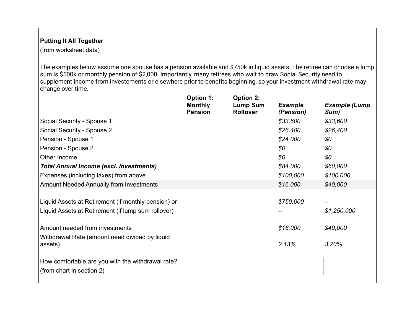## **Putting It All Together**

(from worksheet data)

The examples below assume one spouse has a pension available and \$750k in liquid assets. The retiree can choose a lump sum is \$500k or monthly pension of \$2,000. Importantly, many retirees who wait to draw Social Security need to supplement income from investements or elsewhere prior to benefits beginning, so your investment withdrawal rate may change over time.

|                                                                                                           | <b>Option 1:</b><br><b>Monthly</b><br><b>Pension</b> | <b>Option 2:</b><br><b>Lump Sum</b><br><b>Rollover</b> | <b>Example</b><br>(Pension) | <b>Example (Lump</b><br>Sum) |
|-----------------------------------------------------------------------------------------------------------|------------------------------------------------------|--------------------------------------------------------|-----------------------------|------------------------------|
| Social Security - Spouse 1                                                                                |                                                      |                                                        | \$33,600                    | \$33,600                     |
| Social Security - Spouse 2                                                                                |                                                      |                                                        | \$26,400                    | \$26,400                     |
| Pension - Spouse 1                                                                                        |                                                      |                                                        | \$24,000                    | \$0                          |
| Pension - Spouse 2                                                                                        |                                                      |                                                        | \$0                         | \$0                          |
| Other Income                                                                                              |                                                      |                                                        | \$0                         | \$0                          |
| <b>Total Annual Income (excl. investments)</b>                                                            |                                                      |                                                        | \$84,000                    | \$60,000                     |
| Expenses (including taxes) from above                                                                     |                                                      |                                                        | \$100,000                   | \$100,000                    |
| <b>Amount Needed Annually from Investments</b>                                                            |                                                      |                                                        | \$16,000                    | \$40,000                     |
| Liquid Assets at Retirement (if monthly pension) or<br>Liquid Assets at Retirement (if lump sum rollover) |                                                      |                                                        | \$750,000                   | \$1,250,000                  |
| Amount needed from investments                                                                            |                                                      |                                                        | \$16,000                    | \$40,000                     |
| Withdrawal Rate (amount need divided by liquid<br>assets)                                                 |                                                      |                                                        | 2.13%                       | 3.20%                        |
| How comfortable are you with the withdrawal rate?<br>(from chart in section 2)                            |                                                      |                                                        |                             |                              |